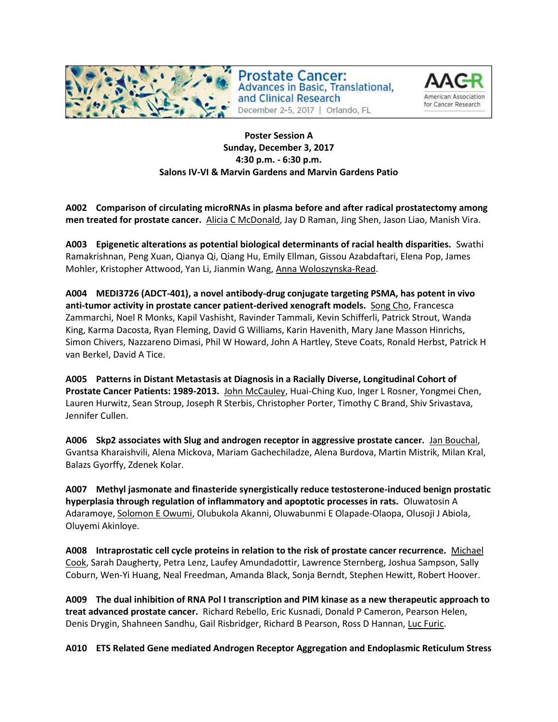

**Prostate Cancer: Advances in Basic, Translational,** and Clinical Research December 2-5, 2017 | Orlando, FL



# **Poster Session A Sunday, December 3, 2017 4:30 p.m. - 6:30 p.m. Salons IV-VI & Marvin Gardens and Marvin Gardens Patio**

**A002 Comparison of circulating microRNAs in plasma before and after radical prostatectomy among men treated for prostate cancer.** Alicia C McDonald, Jay D Raman, Jing Shen, Jason Liao, Manish Vira.

**A003 Epigenetic alterations as potential biological determinants of racial health disparities.** Swathi Ramakrishnan, Peng Xuan, Qianya Qi, Qiang Hu, Emily Ellman, Gissou Azabdaftari, Elena Pop, James Mohler, Kristopher Attwood, Yan Li, Jianmin Wang, Anna Woloszynska-Read.

**A004 MEDI3726 (ADCT-401), a novel antibody-drug conjugate targeting PSMA, has potent in vivo**  anti-tumor activity in prostate cancer patient-derived xenograft models. Song Cho, Francesca Zammarchi, Noel R Monks, Kapil Vashisht, Ravinder Tammali, Kevin Schifferli, Patrick Strout, Wanda King, Karma Dacosta, Ryan Fleming, David G Williams, Karin Havenith, Mary Jane Masson Hinrichs, Simon Chivers, Nazzareno Dimasi, Phil W Howard, John A Hartley, Steve Coats, Ronald Herbst, Patrick H van Berkel, David A Tice.

**A005 Patterns in Distant Metastasis at Diagnosis in a Racially Diverse, Longitudinal Cohort of Prostate Cancer Patients: 1989-2013.** John McCauley, Huai-Ching Kuo, Inger L Rosner, Yongmei Chen, Lauren Hurwitz, Sean Stroup, Joseph R Sterbis, Christopher Porter, Timothy C Brand, Shiv Srivastava, Jennifer Cullen.

**A006 Skp2 associates with Slug and androgen receptor in aggressive prostate cancer.** Jan Bouchal, Gvantsa Kharaishvili, Alena Mickova, Mariam Gachechiladze, Alena Burdova, Martin Mistrik, Milan Kral, Balazs Gyorffy, Zdenek Kolar.

**A007 Methyl jasmonate and finasteride synergistically reduce testosterone-induced benign prostatic hyperplasia through regulation of inflammatory and apoptotic processes in rats.** Oluwatosin A Adaramoye, Solomon E Owumi, Olubukola Akanni, Oluwabunmi E Olapade-Olaopa, Olusoji J Abiola, Oluyemi Akinloye.

**A008 Intraprostatic cell cycle proteins in relation to the risk of prostate cancer recurrence.** Michael Cook, Sarah Daugherty, Petra Lenz, Laufey Amundadottir, Lawrence Sternberg, Joshua Sampson, Sally Coburn, Wen-Yi Huang, Neal Freedman, Amanda Black, Sonja Berndt, Stephen Hewitt, Robert Hoover.

**A009 The dual inhibition of RNA Pol I transcription and PIM kinase as a new therapeutic approach to treat advanced prostate cancer.** Richard Rebello, Eric Kusnadi, Donald P Cameron, Pearson Helen, Denis Drygin, Shahneen Sandhu, Gail Risbridger, Richard B Pearson, Ross D Hannan, Luc Furic.

**A010 ETS Related Gene mediated Androgen Receptor Aggregation and Endoplasmic Reticulum Stress**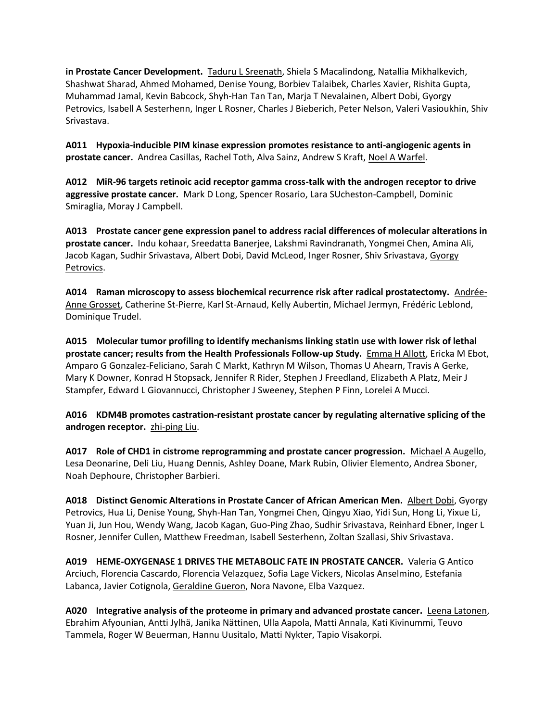**in Prostate Cancer Development.** Taduru L Sreenath, Shiela S Macalindong, Natallia Mikhalkevich, Shashwat Sharad, Ahmed Mohamed, Denise Young, Borbiev Talaibek, Charles Xavier, Rishita Gupta, Muhammad Jamal, Kevin Babcock, Shyh-Han Tan Tan, Marja T Nevalainen, Albert Dobi, Gyorgy Petrovics, Isabell A Sesterhenn, Inger L Rosner, Charles J Bieberich, Peter Nelson, Valeri Vasioukhin, Shiv Srivastava.

**A011 Hypoxia-inducible PIM kinase expression promotes resistance to anti-angiogenic agents in prostate cancer.** Andrea Casillas, Rachel Toth, Alva Sainz, Andrew S Kraft, Noel A Warfel.

**A012 MiR-96 targets retinoic acid receptor gamma cross-talk with the androgen receptor to drive aggressive prostate cancer.** Mark D Long, Spencer Rosario, Lara SUcheston-Campbell, Dominic Smiraglia, Moray J Campbell.

**A013 Prostate cancer gene expression panel to address racial differences of molecular alterations in prostate cancer.** Indu kohaar, Sreedatta Banerjee, Lakshmi Ravindranath, Yongmei Chen, Amina Ali, Jacob Kagan, Sudhir Srivastava, Albert Dobi, David McLeod, Inger Rosner, Shiv Srivastava, Gyorgy Petrovics.

**A014 Raman microscopy to assess biochemical recurrence risk after radical prostatectomy.** Andrée-Anne Grosset, Catherine St-Pierre, Karl St-Arnaud, Kelly Aubertin, Michael Jermyn, Frédéric Leblond, Dominique Trudel.

**A015 Molecular tumor profiling to identify mechanisms linking statin use with lower risk of lethal prostate cancer; results from the Health Professionals Follow-up Study.** Emma H Allott, Ericka M Ebot, Amparo G Gonzalez-Feliciano, Sarah C Markt, Kathryn M Wilson, Thomas U Ahearn, Travis A Gerke, Mary K Downer, Konrad H Stopsack, Jennifer R Rider, Stephen J Freedland, Elizabeth A Platz, Meir J Stampfer, Edward L Giovannucci, Christopher J Sweeney, Stephen P Finn, Lorelei A Mucci.

**A016 KDM4B promotes castration-resistant prostate cancer by regulating alternative splicing of the androgen receptor.** zhi-ping Liu.

**A017 Role of CHD1 in cistrome reprogramming and prostate cancer progression.** Michael A Augello, Lesa Deonarine, Deli Liu, Huang Dennis, Ashley Doane, Mark Rubin, Olivier Elemento, Andrea Sboner, Noah Dephoure, Christopher Barbieri.

**A018 Distinct Genomic Alterations in Prostate Cancer of African American Men.** Albert Dobi, Gyorgy Petrovics, Hua Li, Denise Young, Shyh-Han Tan, Yongmei Chen, Qingyu Xiao, Yidi Sun, Hong Li, Yixue Li, Yuan Ji, Jun Hou, Wendy Wang, Jacob Kagan, Guo-Ping Zhao, Sudhir Srivastava, Reinhard Ebner, Inger L Rosner, Jennifer Cullen, Matthew Freedman, Isabell Sesterhenn, Zoltan Szallasi, Shiv Srivastava.

**A019 HEME-OXYGENASE 1 DRIVES THE METABOLIC FATE IN PROSTATE CANCER.** Valeria G Antico Arciuch, Florencia Cascardo, Florencia Velazquez, Sofia Lage Vickers, Nicolas Anselmino, Estefania Labanca, Javier Cotignola, Geraldine Gueron, Nora Navone, Elba Vazquez.

**A020 Integrative analysis of the proteome in primary and advanced prostate cancer.** Leena Latonen, Ebrahim Afyounian, Antti Jylhä, Janika Nättinen, Ulla Aapola, Matti Annala, Kati Kivinummi, Teuvo Tammela, Roger W Beuerman, Hannu Uusitalo, Matti Nykter, Tapio Visakorpi.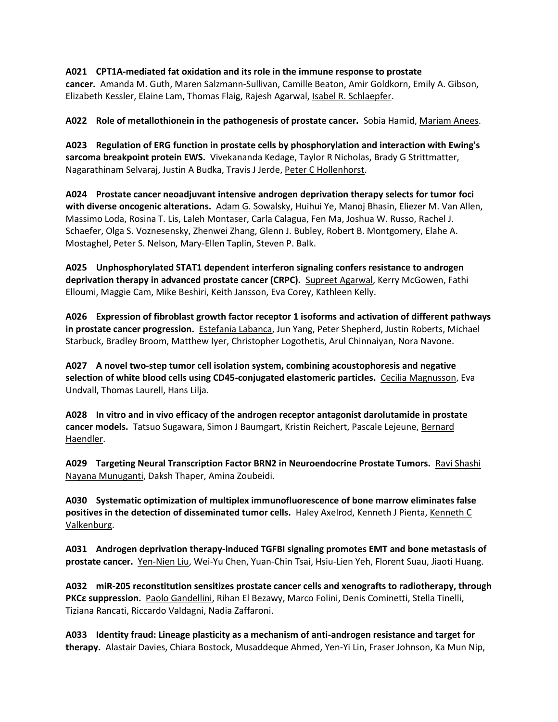### **A021 CPT1A-mediated fat oxidation and its role in the immune response to prostate**

**cancer.** Amanda M. Guth, Maren Salzmann-Sullivan, Camille Beaton, Amir Goldkorn, Emily A. Gibson, Elizabeth Kessler, Elaine Lam, Thomas Flaig, Rajesh Agarwal, Isabel R. Schlaepfer.

**A022 Role of metallothionein in the pathogenesis of prostate cancer.** Sobia Hamid, Mariam Anees.

**A023 Regulation of ERG function in prostate cells by phosphorylation and interaction with Ewing's sarcoma breakpoint protein EWS.** Vivekananda Kedage, Taylor R Nicholas, Brady G Strittmatter, Nagarathinam Selvaraj, Justin A Budka, Travis J Jerde, Peter C Hollenhorst.

**A024 Prostate cancer neoadjuvant intensive androgen deprivation therapy selects for tumor foci with diverse oncogenic alterations.** Adam G. Sowalsky, Huihui Ye, Manoj Bhasin, Eliezer M. Van Allen, Massimo Loda, Rosina T. Lis, Laleh Montaser, Carla Calagua, Fen Ma, Joshua W. Russo, Rachel J. Schaefer, Olga S. Voznesensky, Zhenwei Zhang, Glenn J. Bubley, Robert B. Montgomery, Elahe A. Mostaghel, Peter S. Nelson, Mary-Ellen Taplin, Steven P. Balk.

**A025 Unphosphorylated STAT1 dependent interferon signaling confers resistance to androgen deprivation therapy in advanced prostate cancer (CRPC).** Supreet Agarwal, Kerry McGowen, Fathi Elloumi, Maggie Cam, Mike Beshiri, Keith Jansson, Eva Corey, Kathleen Kelly.

**A026 Expression of fibroblast growth factor receptor 1 isoforms and activation of different pathways in prostate cancer progression.** Estefania Labanca, Jun Yang, Peter Shepherd, Justin Roberts, Michael Starbuck, Bradley Broom, Matthew Iyer, Christopher Logothetis, Arul Chinnaiyan, Nora Navone.

**A027 A novel two-step tumor cell isolation system, combining acoustophoresis and negative selection of white blood cells using CD45-conjugated elastomeric particles.** Cecilia Magnusson, Eva Undvall, Thomas Laurell, Hans Lilja.

**A028 In vitro and in vivo efficacy of the androgen receptor antagonist darolutamide in prostate cancer models.** Tatsuo Sugawara, Simon J Baumgart, Kristin Reichert, Pascale Lejeune, Bernard Haendler.

**A029 Targeting Neural Transcription Factor BRN2 in Neuroendocrine Prostate Tumors.** Ravi Shashi Nayana Munuganti, Daksh Thaper, Amina Zoubeidi.

**A030 Systematic optimization of multiplex immunofluorescence of bone marrow eliminates false positives in the detection of disseminated tumor cells.** Haley Axelrod, Kenneth J Pienta, Kenneth C Valkenburg.

**A031 Androgen deprivation therapy-induced TGFBI signaling promotes EMT and bone metastasis of prostate cancer.** Yen-Nien Liu, Wei-Yu Chen, Yuan-Chin Tsai, Hsiu-Lien Yeh, Florent Suau, Jiaoti Huang.

**A032 miR-205 reconstitution sensitizes prostate cancer cells and xenografts to radiotherapy, through PKCε suppression.** Paolo Gandellini, Rihan El Bezawy, Marco Folini, Denis Cominetti, Stella Tinelli, Tiziana Rancati, Riccardo Valdagni, Nadia Zaffaroni.

**A033 Identity fraud: Lineage plasticity as a mechanism of anti-androgen resistance and target for therapy.** Alastair Davies, Chiara Bostock, Musaddeque Ahmed, Yen-Yi Lin, Fraser Johnson, Ka Mun Nip,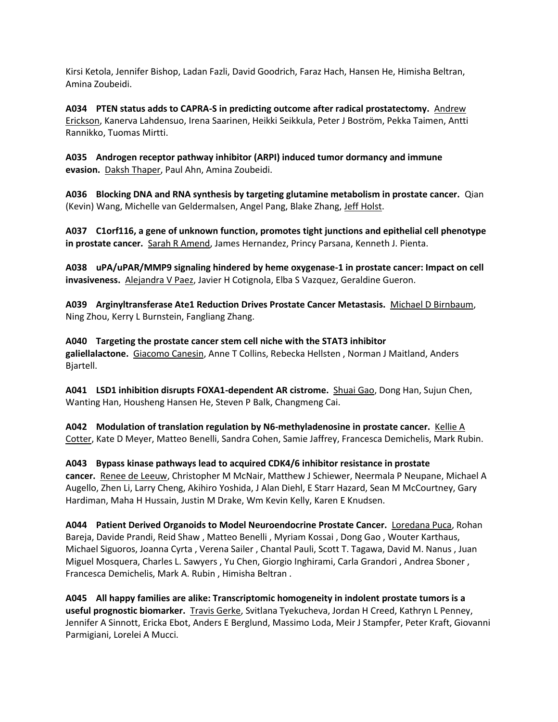Kirsi Ketola, Jennifer Bishop, Ladan Fazli, David Goodrich, Faraz Hach, Hansen He, Himisha Beltran, Amina Zoubeidi.

**A034 PTEN status adds to CAPRA-S in predicting outcome after radical prostatectomy.** Andrew Erickson, Kanerva Lahdensuo, Irena Saarinen, Heikki Seikkula, Peter J Boström, Pekka Taimen, Antti Rannikko, Tuomas Mirtti.

**A035 Androgen receptor pathway inhibitor (ARPI) induced tumor dormancy and immune evasion.** Daksh Thaper, Paul Ahn, Amina Zoubeidi.

**A036 Blocking DNA and RNA synthesis by targeting glutamine metabolism in prostate cancer.** Qian (Kevin) Wang, Michelle van Geldermalsen, Angel Pang, Blake Zhang, Jeff Holst.

**A037 C1orf116, a gene of unknown function, promotes tight junctions and epithelial cell phenotype in prostate cancer.** Sarah R Amend, James Hernandez, Princy Parsana, Kenneth J. Pienta.

**A038 uPA/uPAR/MMP9 signaling hindered by heme oxygenase-1 in prostate cancer: Impact on cell invasiveness.** Alejandra V Paez, Javier H Cotignola, Elba S Vazquez, Geraldine Gueron.

**A039 Arginyltransferase Ate1 Reduction Drives Prostate Cancer Metastasis.** Michael D Birnbaum, Ning Zhou, Kerry L Burnstein, Fangliang Zhang.

**A040 Targeting the prostate cancer stem cell niche with the STAT3 inhibitor galiellalactone.** Giacomo Canesin, Anne T Collins, Rebecka Hellsten , Norman J Maitland, Anders Bjartell.

**A041 LSD1 inhibition disrupts FOXA1-dependent AR cistrome.** Shuai Gao, Dong Han, Sujun Chen, Wanting Han, Housheng Hansen He, Steven P Balk, Changmeng Cai.

**A042 Modulation of translation regulation by N6-methyladenosine in prostate cancer.** Kellie A Cotter, Kate D Meyer, Matteo Benelli, Sandra Cohen, Samie Jaffrey, Francesca Demichelis, Mark Rubin.

**A043 Bypass kinase pathways lead to acquired CDK4/6 inhibitor resistance in prostate cancer.** Renee de Leeuw, Christopher M McNair, Matthew J Schiewer, Neermala P Neupane, Michael A Augello, Zhen Li, Larry Cheng, Akihiro Yoshida, J Alan Diehl, E Starr Hazard, Sean M McCourtney, Gary Hardiman, Maha H Hussain, Justin M Drake, Wm Kevin Kelly, Karen E Knudsen.

**A044 Patient Derived Organoids to Model Neuroendocrine Prostate Cancer.** Loredana Puca, Rohan Bareja, Davide Prandi, Reid Shaw , Matteo Benelli , Myriam Kossai , Dong Gao , Wouter Karthaus, Michael Siguoros, Joanna Cyrta , Verena Sailer , Chantal Pauli, Scott T. Tagawa, David M. Nanus , Juan Miguel Mosquera, Charles L. Sawyers , Yu Chen, Giorgio Inghirami, Carla Grandori , Andrea Sboner , Francesca Demichelis, Mark A. Rubin , Himisha Beltran .

**A045 All happy families are alike: Transcriptomic homogeneity in indolent prostate tumors is a useful prognostic biomarker.** Travis Gerke, Svitlana Tyekucheva, Jordan H Creed, Kathryn L Penney, Jennifer A Sinnott, Ericka Ebot, Anders E Berglund, Massimo Loda, Meir J Stampfer, Peter Kraft, Giovanni Parmigiani, Lorelei A Mucci.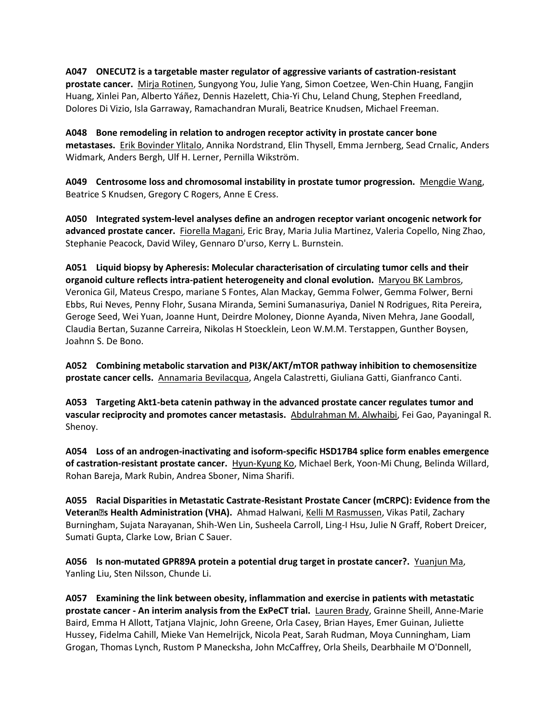**A047 ONECUT2 is a targetable master regulator of aggressive variants of castration-resistant prostate cancer.** Mirja Rotinen, Sungyong You, Julie Yang, Simon Coetzee, Wen-Chin Huang, Fangjin Huang, Xinlei Pan, Alberto Yáñez, Dennis Hazelett, Chia-Yi Chu, Leland Chung, Stephen Freedland, Dolores Di Vizio, Isla Garraway, Ramachandran Murali, Beatrice Knudsen, Michael Freeman.

**A048 Bone remodeling in relation to androgen receptor activity in prostate cancer bone metastases.** Erik Bovinder Ylitalo, Annika Nordstrand, Elin Thysell, Emma Jernberg, Sead Crnalic, Anders Widmark, Anders Bergh, Ulf H. Lerner, Pernilla Wikström.

**A049 Centrosome loss and chromosomal instability in prostate tumor progression.** Mengdie Wang, Beatrice S Knudsen, Gregory C Rogers, Anne E Cress.

**A050 Integrated system-level analyses define an androgen receptor variant oncogenic network for advanced prostate cancer.** Fiorella Magani, Eric Bray, Maria Julia Martinez, Valeria Copello, Ning Zhao, Stephanie Peacock, David Wiley, Gennaro D'urso, Kerry L. Burnstein.

**A051 Liquid biopsy by Apheresis: Molecular characterisation of circulating tumor cells and their organoid culture reflects intra-patient heterogeneity and clonal evolution.** Maryou BK Lambros, Veronica Gil, Mateus Crespo, mariane S Fontes, Alan Mackay, Gemma Folwer, Gemma Folwer, Berni Ebbs, Rui Neves, Penny Flohr, Susana Miranda, Semini Sumanasuriya, Daniel N Rodrigues, Rita Pereira, Geroge Seed, Wei Yuan, Joanne Hunt, Deirdre Moloney, Dionne Ayanda, Niven Mehra, Jane Goodall, Claudia Bertan, Suzanne Carreira, Nikolas H Stoecklein, Leon W.M.M. Terstappen, Gunther Boysen, Joahnn S. De Bono.

**A052 Combining metabolic starvation and PI3K/AKT/mTOR pathway inhibition to chemosensitize prostate cancer cells.** Annamaria Bevilacqua, Angela Calastretti, Giuliana Gatti, Gianfranco Canti.

**A053 Targeting Akt1-beta catenin pathway in the advanced prostate cancer regulates tumor and vascular reciprocity and promotes cancer metastasis.** Abdulrahman M. Alwhaibi, Fei Gao, Payaningal R. Shenoy.

**A054 Loss of an androgen-inactivating and isoform-specific HSD17B4 splice form enables emergence of castration-resistant prostate cancer.** Hyun-Kyung Ko, Michael Berk, Yoon-Mi Chung, Belinda Willard, Rohan Bareja, Mark Rubin, Andrea Sboner, Nima Sharifi.

**A055 Racial Disparities in Metastatic Castrate-Resistant Prostate Cancer (mCRPC): Evidence from the Veteran' s Health Administration (VHA).** Ahmad Halwani, Kelli M Rasmussen, Vikas Patil, Zachary Burningham, Sujata Narayanan, Shih-Wen Lin, Susheela Carroll, Ling-I Hsu, Julie N Graff, Robert Dreicer, Sumati Gupta, Clarke Low, Brian C Sauer.

**A056 Is non-mutated GPR89A protein a potential drug target in prostate cancer?.** Yuanjun Ma, Yanling Liu, Sten Nilsson, Chunde Li.

**A057 Examining the link between obesity, inflammation and exercise in patients with metastatic prostate cancer - An interim analysis from the ExPeCT trial.** Lauren Brady, Grainne Sheill, Anne-Marie Baird, Emma H Allott, Tatjana Vlajnic, John Greene, Orla Casey, Brian Hayes, Emer Guinan, Juliette Hussey, Fidelma Cahill, Mieke Van Hemelrijck, Nicola Peat, Sarah Rudman, Moya Cunningham, Liam Grogan, Thomas Lynch, Rustom P Manecksha, John McCaffrey, Orla Sheils, Dearbhaile M O'Donnell,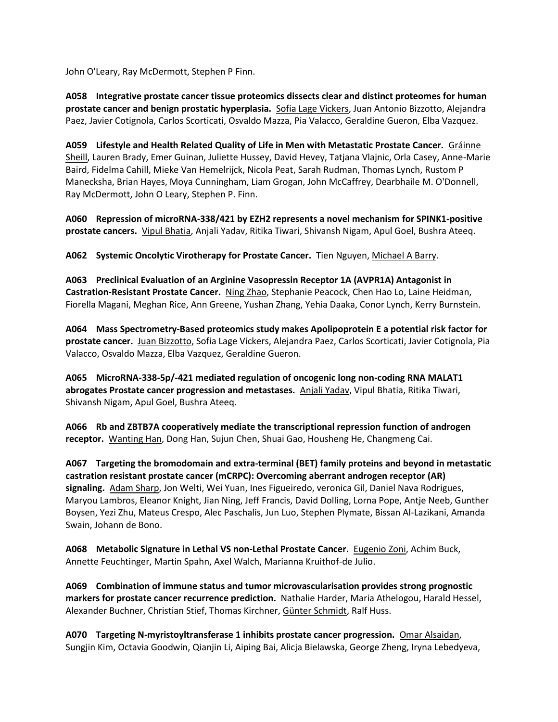John O'Leary, Ray McDermott, Stephen P Finn.

**A058 Integrative prostate cancer tissue proteomics dissects clear and distinct proteomes for human prostate cancer and benign prostatic hyperplasia.** Sofia Lage Vickers, Juan Antonio Bizzotto, Alejandra Paez, Javier Cotignola, Carlos Scorticati, Osvaldo Mazza, Pia Valacco, Geraldine Gueron, Elba Vazquez.

**A059 Lifestyle and Health Related Quality of Life in Men with Metastatic Prostate Cancer.** Gráinne Sheill, Lauren Brady, Emer Guinan, Juliette Hussey, David Hevey, Tatjana Vlajnic, Orla Casey, Anne-Marie Baird, Fidelma Cahill, Mieke Van Hemelrijck, Nicola Peat, Sarah Rudman, Thomas Lynch, Rustom P Manecksha, Brian Hayes, Moya Cunningham, Liam Grogan, John McCaffrey, Dearbhaile M. O'Donnell, Ray McDermott, John O Leary, Stephen P. Finn.

**A060 Repression of microRNA-338/421 by EZH2 represents a novel mechanism for SPINK1-positive prostate cancers.** Vipul Bhatia, Anjali Yadav, Ritika Tiwari, Shivansh Nigam, Apul Goel, Bushra Ateeq.

**A062 Systemic Oncolytic Virotherapy for Prostate Cancer.** Tien Nguyen, Michael A Barry.

**A063 Preclinical Evaluation of an Arginine Vasopressin Receptor 1A (AVPR1A) Antagonist in Castration-Resistant Prostate Cancer.** Ning Zhao, Stephanie Peacock, Chen Hao Lo, Laine Heidman, Fiorella Magani, Meghan Rice, Ann Greene, Yushan Zhang, Yehia Daaka, Conor Lynch, Kerry Burnstein.

**A064 Mass Spectrometry-Based proteomics study makes Apolipoprotein E a potential risk factor for prostate cancer.** Juan Bizzotto, Sofia Lage Vickers, Alejandra Paez, Carlos Scorticati, Javier Cotignola, Pia Valacco, Osvaldo Mazza, Elba Vazquez, Geraldine Gueron.

**A065 MicroRNA-338-5p/-421 mediated regulation of oncogenic long non-coding RNA MALAT1 abrogates Prostate cancer progression and metastases.** Anjali Yadav, Vipul Bhatia, Ritika Tiwari, Shivansh Nigam, Apul Goel, Bushra Ateeq.

**A066 Rb and ZBTB7A cooperatively mediate the transcriptional repression function of androgen receptor.** Wanting Han, Dong Han, Sujun Chen, Shuai Gao, Housheng He, Changmeng Cai.

**A067 Targeting the bromodomain and extra-terminal (BET) family proteins and beyond in metastatic castration resistant prostate cancer (mCRPC): Overcoming aberrant androgen receptor (AR) signaling.** Adam Sharp, Jon Welti, Wei Yuan, Ines Figueiredo, veronica Gil, Daniel Nava Rodrigues, Maryou Lambros, Eleanor Knight, Jian Ning, Jeff Francis, David Dolling, Lorna Pope, Antje Neeb, Gunther Boysen, Yezi Zhu, Mateus Crespo, Alec Paschalis, Jun Luo, Stephen Plymate, Bissan Al-Lazikani, Amanda Swain, Johann de Bono.

**A068 Metabolic Signature in Lethal VS non-Lethal Prostate Cancer.** Eugenio Zoni, Achim Buck, Annette Feuchtinger, Martin Spahn, Axel Walch, Marianna Kruithof-de Julio.

**A069 Combination of immune status and tumor microvascularisation provides strong prognostic markers for prostate cancer recurrence prediction.** Nathalie Harder, Maria Athelogou, Harald Hessel, Alexander Buchner, Christian Stief, Thomas Kirchner, Günter Schmidt, Ralf Huss.

**A070 Targeting N-myristoyltransferase 1 inhibits prostate cancer progression.** Omar Alsaidan, Sungjin Kim, Octavia Goodwin, Qianjin Li, Aiping Bai, Alicja Bielawska, George Zheng, Iryna Lebedyeva,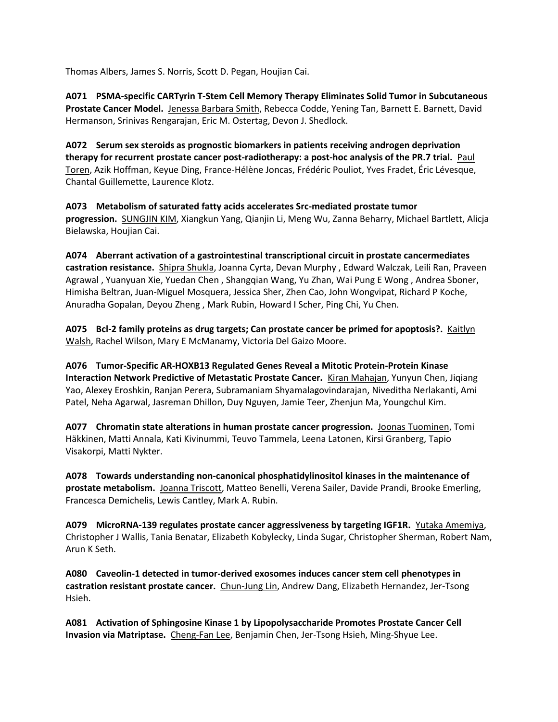Thomas Albers, James S. Norris, Scott D. Pegan, Houjian Cai.

**A071 PSMA-specific CARTyrin T-Stem Cell Memory Therapy Eliminates Solid Tumor in Subcutaneous Prostate Cancer Model.** Jenessa Barbara Smith, Rebecca Codde, Yening Tan, Barnett E. Barnett, David Hermanson, Srinivas Rengarajan, Eric M. Ostertag, Devon J. Shedlock.

**A072 Serum sex steroids as prognostic biomarkers in patients receiving androgen deprivation therapy for recurrent prostate cancer post-radiotherapy: a post-hoc analysis of the PR.7 trial.** Paul Toren, Azik Hoffman, Keyue Ding, France-Hélène Joncas, Frédéric Pouliot, Yves Fradet, Éric Lévesque, Chantal Guillemette, Laurence Klotz.

**A073 Metabolism of saturated fatty acids accelerates Src-mediated prostate tumor progression.** SUNGJIN KIM, Xiangkun Yang, Qianjin Li, Meng Wu, Zanna Beharry, Michael Bartlett, Alicja Bielawska, Houjian Cai.

**A074 Aberrant activation of a gastrointestinal transcriptional circuit in prostate cancermediates castration resistance.** Shipra Shukla, Joanna Cyrta, Devan Murphy , Edward Walczak, Leili Ran, Praveen Agrawal , Yuanyuan Xie, Yuedan Chen , Shangqian Wang, Yu Zhan, Wai Pung E Wong , Andrea Sboner, Himisha Beltran, Juan-Miguel Mosquera, Jessica Sher, Zhen Cao, John Wongvipat, Richard P Koche, Anuradha Gopalan, Deyou Zheng , Mark Rubin, Howard I Scher, Ping Chi, Yu Chen.

**A075 Bcl-2 family proteins as drug targets; Can prostate cancer be primed for apoptosis?.** Kaitlyn Walsh, Rachel Wilson, Mary E McManamy, Victoria Del Gaizo Moore.

**A076 Tumor-Specific AR-HOXB13 Regulated Genes Reveal a Mitotic Protein-Protein Kinase Interaction Network Predictive of Metastatic Prostate Cancer.** Kiran Mahajan, Yunyun Chen, Jiqiang Yao, Alexey Eroshkin, Ranjan Perera, Subramaniam Shyamalagovindarajan, Niveditha Nerlakanti, Ami Patel, Neha Agarwal, Jasreman Dhillon, Duy Nguyen, Jamie Teer, Zhenjun Ma, Youngchul Kim.

**A077 Chromatin state alterations in human prostate cancer progression.** Joonas Tuominen, Tomi Häkkinen, Matti Annala, Kati Kivinummi, Teuvo Tammela, Leena Latonen, Kirsi Granberg, Tapio Visakorpi, Matti Nykter.

**A078 Towards understanding non-canonical phosphatidylinositol kinases in the maintenance of prostate metabolism.** Joanna Triscott, Matteo Benelli, Verena Sailer, Davide Prandi, Brooke Emerling, Francesca Demichelis, Lewis Cantley, Mark A. Rubin.

**A079 MicroRNA-139 regulates prostate cancer aggressiveness by targeting IGF1R.** Yutaka Amemiya, Christopher J Wallis, Tania Benatar, Elizabeth Kobylecky, Linda Sugar, Christopher Sherman, Robert Nam, Arun K Seth.

**A080 Caveolin-1 detected in tumor-derived exosomes induces cancer stem cell phenotypes in castration resistant prostate cancer.** Chun-Jung Lin, Andrew Dang, Elizabeth Hernandez, Jer-Tsong Hsieh.

**A081 Activation of Sphingosine Kinase 1 by Lipopolysaccharide Promotes Prostate Cancer Cell Invasion via Matriptase.** Cheng-Fan Lee, Benjamin Chen, Jer-Tsong Hsieh, Ming-Shyue Lee.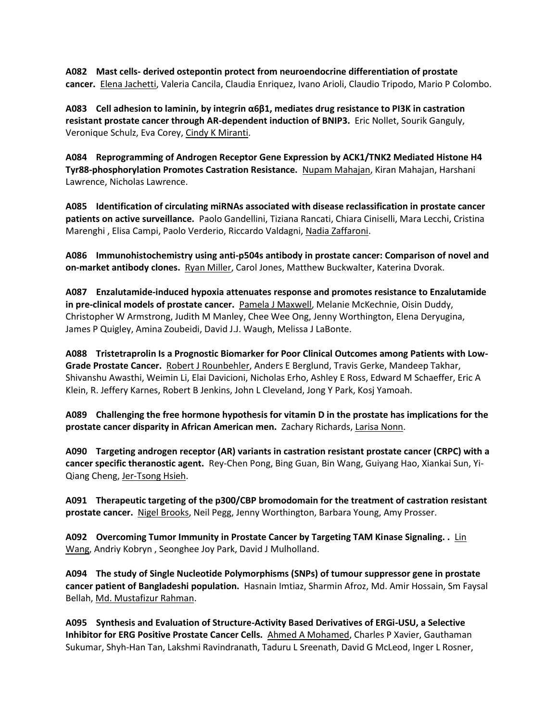**A082 Mast cells- derived ostepontin protect from neuroendocrine differentiation of prostate cancer.** Elena Jachetti, Valeria Cancila, Claudia Enriquez, Ivano Arioli, Claudio Tripodo, Mario P Colombo.

**A083 Cell adhesion to laminin, by integrin α6β1, mediates drug resistance to PI3K in castration resistant prostate cancer through AR-dependent induction of BNIP3.** Eric Nollet, Sourik Ganguly, Veronique Schulz, Eva Corey, Cindy K Miranti.

**A084 Reprogramming of Androgen Receptor Gene Expression by ACK1/TNK2 Mediated Histone H4 Tyr88-phosphorylation Promotes Castration Resistance.** Nupam Mahajan, Kiran Mahajan, Harshani Lawrence, Nicholas Lawrence.

**A085 Identification of circulating miRNAs associated with disease reclassification in prostate cancer patients on active surveillance.** Paolo Gandellini, Tiziana Rancati, Chiara Ciniselli, Mara Lecchi, Cristina Marenghi , Elisa Campi, Paolo Verderio, Riccardo Valdagni, Nadia Zaffaroni.

**A086 Immunohistochemistry using anti-p504s antibody in prostate cancer: Comparison of novel and on-market antibody clones.** Ryan Miller, Carol Jones, Matthew Buckwalter, Katerina Dvorak.

**A087 Enzalutamide-induced hypoxia attenuates response and promotes resistance to Enzalutamide in pre-clinical models of prostate cancer.** Pamela J Maxwell, Melanie McKechnie, Oisin Duddy, Christopher W Armstrong, Judith M Manley, Chee Wee Ong, Jenny Worthington, Elena Deryugina, James P Quigley, Amina Zoubeidi, David J.J. Waugh, Melissa J LaBonte.

**A088 Tristetraprolin Is a Prognostic Biomarker for Poor Clinical Outcomes among Patients with Low-Grade Prostate Cancer.** Robert J Rounbehler, Anders E Berglund, Travis Gerke, Mandeep Takhar, Shivanshu Awasthi, Weimin Li, Elai Davicioni, Nicholas Erho, Ashley E Ross, Edward M Schaeffer, Eric A Klein, R. Jeffery Karnes, Robert B Jenkins, John L Cleveland, Jong Y Park, Kosj Yamoah.

**A089 Challenging the free hormone hypothesis for vitamin D in the prostate has implications for the prostate cancer disparity in African American men.** Zachary Richards, Larisa Nonn.

**A090 Targeting androgen receptor (AR) variants in castration resistant prostate cancer (CRPC) with a cancer specific theranostic agent.** Rey-Chen Pong, Bing Guan, Bin Wang, Guiyang Hao, Xiankai Sun, Yi-Qiang Cheng, Jer-Tsong Hsieh.

**A091 Therapeutic targeting of the p300/CBP bromodomain for the treatment of castration resistant prostate cancer.** Nigel Brooks, Neil Pegg, Jenny Worthington, Barbara Young, Amy Prosser.

**A092 Overcoming Tumor Immunity in Prostate Cancer by Targeting TAM Kinase Signaling. .** Lin Wang, Andriy Kobryn , Seonghee Joy Park, David J Mulholland.

**A094 The study of Single Nucleotide Polymorphisms (SNPs) of tumour suppressor gene in prostate cancer patient of Bangladeshi population.** Hasnain Imtiaz, Sharmin Afroz, Md. Amir Hossain, Sm Faysal Bellah, Md. Mustafizur Rahman.

**A095 Synthesis and Evaluation of Structure-Activity Based Derivatives of ERGi-USU, a Selective Inhibitor for ERG Positive Prostate Cancer Cells.** Ahmed A Mohamed, Charles P Xavier, Gauthaman Sukumar, Shyh-Han Tan, Lakshmi Ravindranath, Taduru L Sreenath, David G McLeod, Inger L Rosner,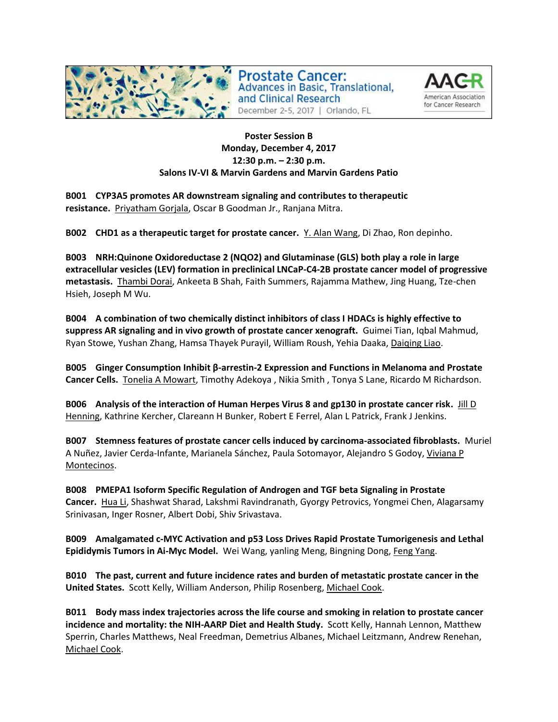

Prostate Cancer: **Advances in Basic, Translational,** and Clinical Research December 2-5, 2017 | Orlando, FL



## **Poster Session B Monday, December 4, 2017 12:30 p.m. – 2:30 p.m. Salons IV-VI & Marvin Gardens and Marvin Gardens Patio**

**B001 CYP3A5 promotes AR downstream signaling and contributes to therapeutic resistance.** Priyatham Gorjala, Oscar B Goodman Jr., Ranjana Mitra.

**B002 CHD1 as a therapeutic target for prostate cancer.** Y. Alan Wang, Di Zhao, Ron depinho.

**B003 NRH:Quinone Oxidoreductase 2 (NQO2) and Glutaminase (GLS) both play a role in large extracellular vesicles (LEV) formation in preclinical LNCaP-C4-2B prostate cancer model of progressive metastasis.** Thambi Dorai, Ankeeta B Shah, Faith Summers, Rajamma Mathew, Jing Huang, Tze-chen Hsieh, Joseph M Wu.

**B004 A combination of two chemically distinct inhibitors of class I HDACs is highly effective to suppress AR signaling and in vivo growth of prostate cancer xenograft.** Guimei Tian, Iqbal Mahmud, Ryan Stowe, Yushan Zhang, Hamsa Thayek Purayil, William Roush, Yehia Daaka, Daiqing Liao.

**B005 Ginger Consumption Inhibit β-arrestin-2 Expression and Functions in Melanoma and Prostate Cancer Cells.** Tonelia A Mowart, Timothy Adekoya , Nikia Smith , Tonya S Lane, Ricardo M Richardson.

**B006 Analysis of the interaction of Human Herpes Virus 8 and gp130 in prostate cancer risk.** Jill D Henning, Kathrine Kercher, Clareann H Bunker, Robert E Ferrel, Alan L Patrick, Frank J Jenkins.

**B007 Stemness features of prostate cancer cells induced by carcinoma-associated fibroblasts.** Muriel A Nuñez, Javier Cerda-Infante, Marianela Sánchez, Paula Sotomayor, Alejandro S Godoy, Viviana P Montecinos.

**B008 PMEPA1 Isoform Specific Regulation of Androgen and TGF beta Signaling in Prostate Cancer.** Hua Li, Shashwat Sharad, Lakshmi Ravindranath, Gyorgy Petrovics, Yongmei Chen, Alagarsamy Srinivasan, Inger Rosner, Albert Dobi, Shiv Srivastava.

**B009 Amalgamated c-MYC Activation and p53 Loss Drives Rapid Prostate Tumorigenesis and Lethal Epididymis Tumors in Ai-Myc Model.** Wei Wang, yanling Meng, Bingning Dong, Feng Yang.

**B010 The past, current and future incidence rates and burden of metastatic prostate cancer in the United States.** Scott Kelly, William Anderson, Philip Rosenberg, Michael Cook.

**B011 Body mass index trajectories across the life course and smoking in relation to prostate cancer incidence and mortality: the NIH-AARP Diet and Health Study.** Scott Kelly, Hannah Lennon, Matthew Sperrin, Charles Matthews, Neal Freedman, Demetrius Albanes, Michael Leitzmann, Andrew Renehan, Michael Cook.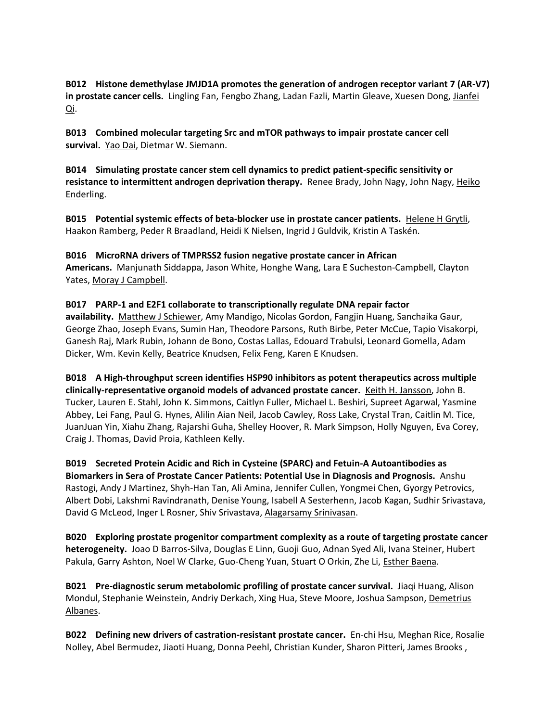**B012 Histone demethylase JMJD1A promotes the generation of androgen receptor variant 7 (AR-V7) in prostate cancer cells.** Lingling Fan, Fengbo Zhang, Ladan Fazli, Martin Gleave, Xuesen Dong, Jianfei Qi.

**B013 Combined molecular targeting Src and mTOR pathways to impair prostate cancer cell survival.** Yao Dai, Dietmar W. Siemann.

**B014 Simulating prostate cancer stem cell dynamics to predict patient-specific sensitivity or resistance to intermittent androgen deprivation therapy.** Renee Brady, John Nagy, John Nagy, Heiko Enderling.

**B015 Potential systemic effects of beta-blocker use in prostate cancer patients.** Helene H Grytli, Haakon Ramberg, Peder R Braadland, Heidi K Nielsen, Ingrid J Guldvik, Kristin A Taskén.

**B016 MicroRNA drivers of TMPRSS2 fusion negative prostate cancer in African Americans.** Manjunath Siddappa, Jason White, Honghe Wang, Lara E Sucheston-Campbell, Clayton Yates, Moray J Campbell.

### **B017 PARP-1 and E2F1 collaborate to transcriptionally regulate DNA repair factor**

**availability.** Matthew J Schiewer, Amy Mandigo, Nicolas Gordon, Fangjin Huang, Sanchaika Gaur, George Zhao, Joseph Evans, Sumin Han, Theodore Parsons, Ruth Birbe, Peter McCue, Tapio Visakorpi, Ganesh Raj, Mark Rubin, Johann de Bono, Costas Lallas, Edouard Trabulsi, Leonard Gomella, Adam Dicker, Wm. Kevin Kelly, Beatrice Knudsen, Felix Feng, Karen E Knudsen.

**B018 A High-throughput screen identifies HSP90 inhibitors as potent therapeutics across multiple clinically-representative organoid models of advanced prostate cancer.** Keith H. Jansson, John B. Tucker, Lauren E. Stahl, John K. Simmons, Caitlyn Fuller, Michael L. Beshiri, Supreet Agarwal, Yasmine Abbey, Lei Fang, Paul G. Hynes, Alilin Aian Neil, Jacob Cawley, Ross Lake, Crystal Tran, Caitlin M. Tice, JuanJuan Yin, Xiahu Zhang, Rajarshi Guha, Shelley Hoover, R. Mark Simpson, Holly Nguyen, Eva Corey, Craig J. Thomas, David Proia, Kathleen Kelly.

**B019 Secreted Protein Acidic and Rich in Cysteine (SPARC) and Fetuin-A Autoantibodies as Biomarkers in Sera of Prostate Cancer Patients: Potential Use in Diagnosis and Prognosis.** Anshu Rastogi, Andy J Martinez, Shyh-Han Tan, Ali Amina, Jennifer Cullen, Yongmei Chen, Gyorgy Petrovics, Albert Dobi, Lakshmi Ravindranath, Denise Young, Isabell A Sesterhenn, Jacob Kagan, Sudhir Srivastava, David G McLeod, Inger L Rosner, Shiv Srivastava, Alagarsamy Srinivasan.

**B020 Exploring prostate progenitor compartment complexity as a route of targeting prostate cancer heterogeneity.** Joao D Barros-Silva, Douglas E Linn, Guoji Guo, Adnan Syed Ali, Ivana Steiner, Hubert Pakula, Garry Ashton, Noel W Clarke, Guo-Cheng Yuan, Stuart O Orkin, Zhe Li, Esther Baena.

**B021 Pre-diagnostic serum metabolomic profiling of prostate cancer survival.** Jiaqi Huang, Alison Mondul, Stephanie Weinstein, Andriy Derkach, Xing Hua, Steve Moore, Joshua Sampson, Demetrius Albanes.

**B022 Defining new drivers of castration-resistant prostate cancer.** En-chi Hsu, Meghan Rice, Rosalie Nolley, Abel Bermudez, Jiaoti Huang, Donna Peehl, Christian Kunder, Sharon Pitteri, James Brooks ,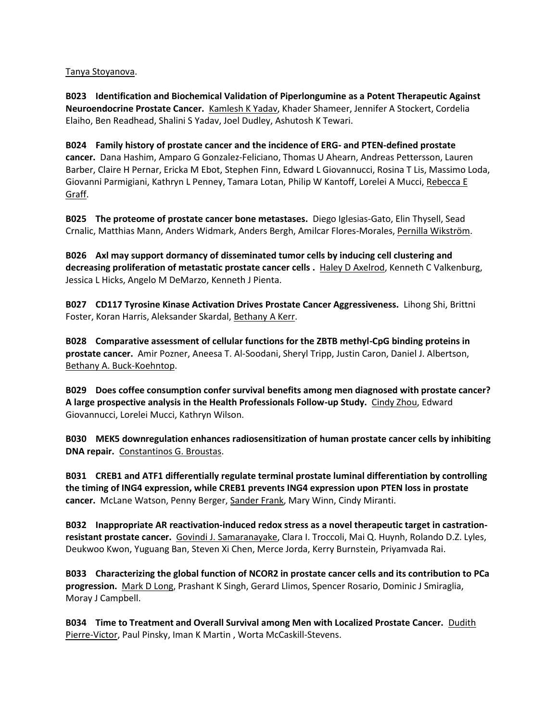#### Tanya Stoyanova.

**B023 Identification and Biochemical Validation of Piperlongumine as a Potent Therapeutic Against Neuroendocrine Prostate Cancer.** Kamlesh K Yadav, Khader Shameer, Jennifer A Stockert, Cordelia Elaiho, Ben Readhead, Shalini S Yadav, Joel Dudley, Ashutosh K Tewari.

**B024 Family history of prostate cancer and the incidence of ERG- and PTEN-defined prostate cancer.** Dana Hashim, Amparo G Gonzalez-Feliciano, Thomas U Ahearn, Andreas Pettersson, Lauren Barber, Claire H Pernar, Ericka M Ebot, Stephen Finn, Edward L Giovannucci, Rosina T Lis, Massimo Loda, Giovanni Parmigiani, Kathryn L Penney, Tamara Lotan, Philip W Kantoff, Lorelei A Mucci, Rebecca E Graff.

**B025 The proteome of prostate cancer bone metastases.** Diego Iglesias-Gato, Elin Thysell, Sead Crnalic, Matthias Mann, Anders Widmark, Anders Bergh, Amilcar Flores-Morales, Pernilla Wikström.

**B026 Axl may support dormancy of disseminated tumor cells by inducing cell clustering and decreasing proliferation of metastatic prostate cancer cells .** Haley D Axelrod, Kenneth C Valkenburg, Jessica L Hicks, Angelo M DeMarzo, Kenneth J Pienta.

**B027 CD117 Tyrosine Kinase Activation Drives Prostate Cancer Aggressiveness.** Lihong Shi, Brittni Foster, Koran Harris, Aleksander Skardal, Bethany A Kerr.

**B028 Comparative assessment of cellular functions for the ZBTB methyl-CpG binding proteins in prostate cancer.** Amir Pozner, Aneesa T. Al-Soodani, Sheryl Tripp, Justin Caron, Daniel J. Albertson, Bethany A. Buck-Koehntop.

**B029 Does coffee consumption confer survival benefits among men diagnosed with prostate cancer? A large prospective analysis in the Health Professionals Follow-up Study.** Cindy Zhou, Edward Giovannucci, Lorelei Mucci, Kathryn Wilson.

**B030 MEK5 downregulation enhances radiosensitization of human prostate cancer cells by inhibiting DNA repair.** Constantinos G. Broustas.

**B031 CREB1 and ATF1 differentially regulate terminal prostate luminal differentiation by controlling the timing of ING4 expression, while CREB1 prevents ING4 expression upon PTEN loss in prostate cancer.** McLane Watson, Penny Berger, Sander Frank, Mary Winn, Cindy Miranti.

**B032 Inappropriate AR reactivation-induced redox stress as a novel therapeutic target in castrationresistant prostate cancer.** Govindi J. Samaranayake, Clara I. Troccoli, Mai Q. Huynh, Rolando D.Z. Lyles, Deukwoo Kwon, Yuguang Ban, Steven Xi Chen, Merce Jorda, Kerry Burnstein, Priyamvada Rai.

**B033 Characterizing the global function of NCOR2 in prostate cancer cells and its contribution to PCa progression.** Mark D Long, Prashant K Singh, Gerard Llimos, Spencer Rosario, Dominic J Smiraglia, Moray J Campbell.

**B034 Time to Treatment and Overall Survival among Men with Localized Prostate Cancer.** Dudith Pierre-Victor, Paul Pinsky, Iman K Martin , Worta McCaskill-Stevens.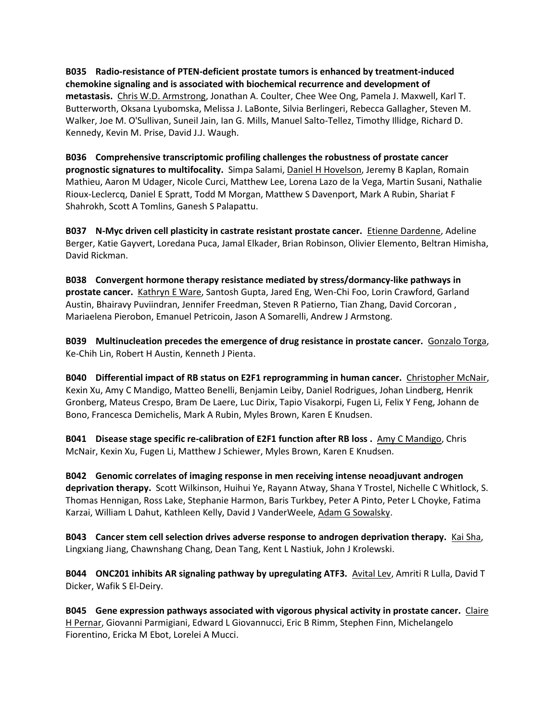**B035 Radio-resistance of PTEN-deficient prostate tumors is enhanced by treatment-induced chemokine signaling and is associated with biochemical recurrence and development of metastasis.** Chris W.D. Armstrong, Jonathan A. Coulter, Chee Wee Ong, Pamela J. Maxwell, Karl T. Butterworth, Oksana Lyubomska, Melissa J. LaBonte, Silvia Berlingeri, Rebecca Gallagher, Steven M. Walker, Joe M. O'Sullivan, Suneil Jain, Ian G. Mills, Manuel Salto-Tellez, Timothy Illidge, Richard D. Kennedy, Kevin M. Prise, David J.J. Waugh.

**B036 Comprehensive transcriptomic profiling challenges the robustness of prostate cancer prognostic signatures to multifocality.** Simpa Salami, Daniel H Hovelson, Jeremy B Kaplan, Romain Mathieu, Aaron M Udager, Nicole Curci, Matthew Lee, Lorena Lazo de la Vega, Martin Susani, Nathalie Rioux-Leclercq, Daniel E Spratt, Todd M Morgan, Matthew S Davenport, Mark A Rubin, Shariat F Shahrokh, Scott A Tomlins, Ganesh S Palapattu.

**B037 N-Myc driven cell plasticity in castrate resistant prostate cancer.** Etienne Dardenne, Adeline Berger, Katie Gayvert, Loredana Puca, Jamal Elkader, Brian Robinson, Olivier Elemento, Beltran Himisha, David Rickman.

**B038 Convergent hormone therapy resistance mediated by stress/dormancy-like pathways in prostate cancer.** Kathryn E Ware, Santosh Gupta, Jared Eng, Wen-Chi Foo, Lorin Crawford, Garland Austin, Bhairavy Puviindran, Jennifer Freedman, Steven R Patierno, Tian Zhang, David Corcoran , Mariaelena Pierobon, Emanuel Petricoin, Jason A Somarelli, Andrew J Armstong.

**B039 Multinucleation precedes the emergence of drug resistance in prostate cancer.** Gonzalo Torga, Ke-Chih Lin, Robert H Austin, Kenneth J Pienta.

**B040 Differential impact of RB status on E2F1 reprogramming in human cancer.** Christopher McNair, Kexin Xu, Amy C Mandigo, Matteo Benelli, Benjamin Leiby, Daniel Rodrigues, Johan Lindberg, Henrik Gronberg, Mateus Crespo, Bram De Laere, Luc Dirix, Tapio Visakorpi, Fugen Li, Felix Y Feng, Johann de Bono, Francesca Demichelis, Mark A Rubin, Myles Brown, Karen E Knudsen.

**B041 Disease stage specific re-calibration of E2F1 function after RB loss .** Amy C Mandigo, Chris McNair, Kexin Xu, Fugen Li, Matthew J Schiewer, Myles Brown, Karen E Knudsen.

**B042 Genomic correlates of imaging response in men receiving intense neoadjuvant androgen deprivation therapy.** Scott Wilkinson, Huihui Ye, Rayann Atway, Shana Y Trostel, Nichelle C Whitlock, S. Thomas Hennigan, Ross Lake, Stephanie Harmon, Baris Turkbey, Peter A Pinto, Peter L Choyke, Fatima Karzai, William L Dahut, Kathleen Kelly, David J VanderWeele, Adam G Sowalsky.

**B043 Cancer stem cell selection drives adverse response to androgen deprivation therapy.** Kai Sha, Lingxiang Jiang, Chawnshang Chang, Dean Tang, Kent L Nastiuk, John J Krolewski.

**B044** ONC201 inhibits AR signaling pathway by upregulating ATF3. Avital Lev, Amriti R Lulla, David T Dicker, Wafik S El-Deiry.

**B045 Gene expression pathways associated with vigorous physical activity in prostate cancer.** Claire H Pernar, Giovanni Parmigiani, Edward L Giovannucci, Eric B Rimm, Stephen Finn, Michelangelo Fiorentino, Ericka M Ebot, Lorelei A Mucci.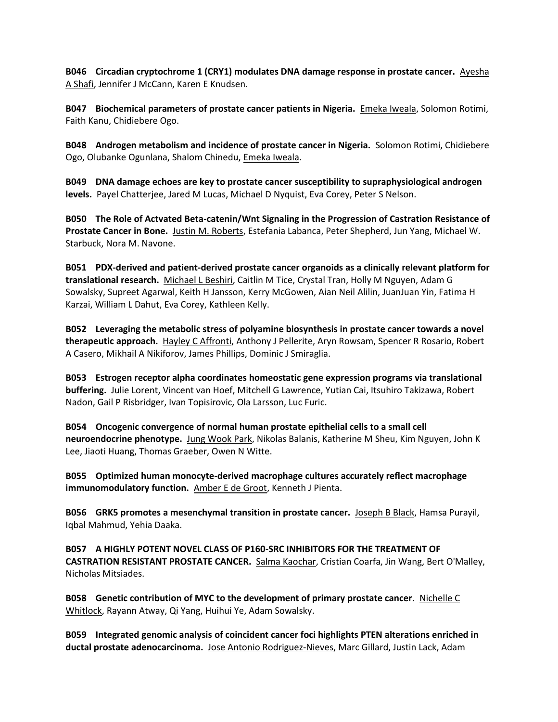**B046 Circadian cryptochrome 1 (CRY1) modulates DNA damage response in prostate cancer.** Ayesha A Shafi, Jennifer J McCann, Karen E Knudsen.

**B047 Biochemical parameters of prostate cancer patients in Nigeria.** Emeka Iweala, Solomon Rotimi, Faith Kanu, Chidiebere Ogo.

**B048 Androgen metabolism and incidence of prostate cancer in Nigeria.** Solomon Rotimi, Chidiebere Ogo, Olubanke Ogunlana, Shalom Chinedu, Emeka Iweala.

**B049 DNA damage echoes are key to prostate cancer susceptibility to supraphysiological androgen levels.** Payel Chatterjee, Jared M Lucas, Michael D Nyquist, Eva Corey, Peter S Nelson.

**B050 The Role of Actvated Beta-catenin/Wnt Signaling in the Progression of Castration Resistance of Prostate Cancer in Bone.** Justin M. Roberts, Estefania Labanca, Peter Shepherd, Jun Yang, Michael W. Starbuck, Nora M. Navone.

**B051 PDX-derived and patient-derived prostate cancer organoids as a clinically relevant platform for translational research.** Michael L Beshiri, Caitlin M Tice, Crystal Tran, Holly M Nguyen, Adam G Sowalsky, Supreet Agarwal, Keith H Jansson, Kerry McGowen, Aian Neil Alilin, JuanJuan Yin, Fatima H Karzai, William L Dahut, Eva Corey, Kathleen Kelly.

**B052 Leveraging the metabolic stress of polyamine biosynthesis in prostate cancer towards a novel therapeutic approach.** Hayley C Affronti, Anthony J Pellerite, Aryn Rowsam, Spencer R Rosario, Robert A Casero, Mikhail A Nikiforov, James Phillips, Dominic J Smiraglia.

**B053 Estrogen receptor alpha coordinates homeostatic gene expression programs via translational buffering.** Julie Lorent, Vincent van Hoef, Mitchell G Lawrence, Yutian Cai, Itsuhiro Takizawa, Robert Nadon, Gail P Risbridger, Ivan Topisirovic, Ola Larsson, Luc Furic.

**B054 Oncogenic convergence of normal human prostate epithelial cells to a small cell neuroendocrine phenotype.** Jung Wook Park, Nikolas Balanis, Katherine M Sheu, Kim Nguyen, John K Lee, Jiaoti Huang, Thomas Graeber, Owen N Witte.

**B055 Optimized human monocyte-derived macrophage cultures accurately reflect macrophage immunomodulatory function.** Amber E de Groot, Kenneth J Pienta.

**B056 GRK5 promotes a mesenchymal transition in prostate cancer.** Joseph B Black, Hamsa Purayil, Iqbal Mahmud, Yehia Daaka.

**B057 A HIGHLY POTENT NOVEL CLASS OF P160-SRC INHIBITORS FOR THE TREATMENT OF CASTRATION RESISTANT PROSTATE CANCER.** Salma Kaochar, Cristian Coarfa, Jin Wang, Bert O'Malley, Nicholas Mitsiades.

**B058 Genetic contribution of MYC to the development of primary prostate cancer.** Nichelle C Whitlock, Rayann Atway, Qi Yang, Huihui Ye, Adam Sowalsky.

**B059 Integrated genomic analysis of coincident cancer foci highlights PTEN alterations enriched in ductal prostate adenocarcinoma.** Jose Antonio Rodriguez-Nieves, Marc Gillard, Justin Lack, Adam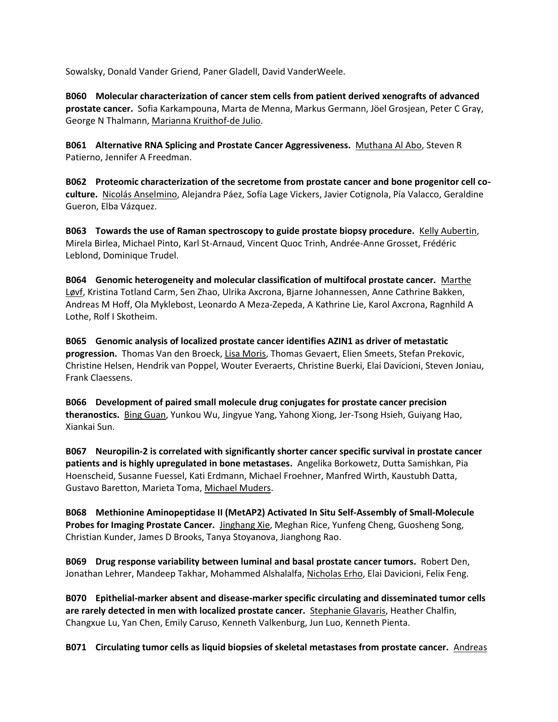Sowalsky, Donald Vander Griend, Paner Gladell, David VanderWeele.

**B060 Molecular characterization of cancer stem cells from patient derived xenografts of advanced prostate cancer.** Sofia Karkampouna, Marta de Menna, Markus Germann, Jöel Grosjean, Peter C Gray, George N Thalmann, Marianna Kruithof-de Julio.

**B061 Alternative RNA Splicing and Prostate Cancer Aggressiveness.** Muthana Al Abo, Steven R Patierno, Jennifer A Freedman.

**B062 Proteomic characterization of the secretome from prostate cancer and bone progenitor cell coculture.** Nicolás Anselmino, Alejandra Páez, Sofía Lage Vickers, Javier Cotignola, Pía Valacco, Geraldine Gueron, Elba Vázquez.

**B063 Towards the use of Raman spectroscopy to guide prostate biopsy procedure.** Kelly Aubertin, Mirela Birlea, Michael Pinto, Karl St-Arnaud, Vincent Quoc Trinh, Andrée-Anne Grosset, Frédéric Leblond, Dominique Trudel.

**B064 Genomic heterogeneity and molecular classification of multifocal prostate cancer.** Marthe Løvf, Kristina Totland Carm, Sen Zhao, Ulrika Axcrona, Bjarne Johannessen, Anne Cathrine Bakken, Andreas M Hoff, Ola Myklebost, Leonardo A Meza-Zepeda, A Kathrine Lie, Karol Axcrona, Ragnhild A Lothe, Rolf I Skotheim.

**B065 Genomic analysis of localized prostate cancer identifies AZIN1 as driver of metastatic progression.** Thomas Van den Broeck, Lisa Moris, Thomas Gevaert, Elien Smeets, Stefan Prekovic, Christine Helsen, Hendrik van Poppel, Wouter Everaerts, Christine Buerki, Elai Davicioni, Steven Joniau, Frank Claessens.

**B066 Development of paired small molecule drug conjugates for prostate cancer precision theranostics.** Bing Guan, Yunkou Wu, Jingyue Yang, Yahong Xiong, Jer-Tsong Hsieh, Guiyang Hao, Xiankai Sun.

**B067 Neuropilin-2 is correlated with significantly shorter cancer specific survival in prostate cancer patients and is highly upregulated in bone metastases.** Angelika Borkowetz, Dutta Samishkan, Pia Hoenscheid, Susanne Fuessel, Kati Erdmann, Michael Froehner, Manfred Wirth, Kaustubh Datta, Gustavo Baretton, Marieta Toma, Michael Muders.

**B068 Methionine Aminopeptidase II (MetAP2) Activated In Situ Self-Assembly of Small-Molecule Probes for Imaging Prostate Cancer.** Jinghang Xie, Meghan Rice, Yunfeng Cheng, Guosheng Song, Christian Kunder, James D Brooks, Tanya Stoyanova, Jianghong Rao.

**B069 Drug response variability between luminal and basal prostate cancer tumors.** Robert Den, Jonathan Lehrer, Mandeep Takhar, Mohammed Alshalalfa, Nicholas Erho, Elai Davicioni, Felix Feng.

**B070 Epithelial-marker absent and disease-marker specific circulating and disseminated tumor cells are rarely detected in men with localized prostate cancer.** Stephanie Glavaris, Heather Chalfin, Changxue Lu, Yan Chen, Emily Caruso, Kenneth Valkenburg, Jun Luo, Kenneth Pienta.

**B071 Circulating tumor cells as liquid biopsies of skeletal metastases from prostate cancer.** Andreas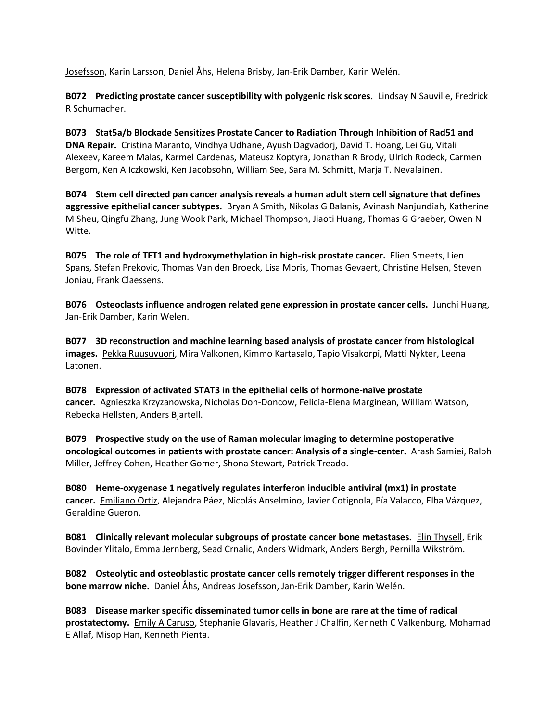Josefsson, Karin Larsson, Daniel Åhs, Helena Brisby, Jan-Erik Damber, Karin Welén.

**B072 Predicting prostate cancer susceptibility with polygenic risk scores.** Lindsay N Sauville, Fredrick R Schumacher.

**B073 Stat5a/b Blockade Sensitizes Prostate Cancer to Radiation Through Inhibition of Rad51 and DNA Repair.** Cristina Maranto, Vindhya Udhane, Ayush Dagvadorj, David T. Hoang, Lei Gu, Vitali Alexeev, Kareem Malas, Karmel Cardenas, Mateusz Koptyra, Jonathan R Brody, Ulrich Rodeck, Carmen Bergom, Ken A Iczkowski, Ken Jacobsohn, William See, Sara M. Schmitt, Marja T. Nevalainen.

**B074 Stem cell directed pan cancer analysis reveals a human adult stem cell signature that defines aggressive epithelial cancer subtypes.** Bryan A Smith, Nikolas G Balanis, Avinash Nanjundiah, Katherine M Sheu, Qingfu Zhang, Jung Wook Park, Michael Thompson, Jiaoti Huang, Thomas G Graeber, Owen N Witte.

**B075 The role of TET1 and hydroxymethylation in high-risk prostate cancer.** Elien Smeets, Lien Spans, Stefan Prekovic, Thomas Van den Broeck, Lisa Moris, Thomas Gevaert, Christine Helsen, Steven Joniau, Frank Claessens.

**B076 Osteoclasts influence androgen related gene expression in prostate cancer cells.** Junchi Huang, Jan-Erik Damber, Karin Welen.

**B077 3D reconstruction and machine learning based analysis of prostate cancer from histological images.** Pekka Ruusuvuori, Mira Valkonen, Kimmo Kartasalo, Tapio Visakorpi, Matti Nykter, Leena Latonen.

**B078 Expression of activated STAT3 in the epithelial cells of hormone-naïve prostate cancer.** Agnieszka Krzyzanowska, Nicholas Don-Doncow, Felicia-Elena Marginean, William Watson, Rebecka Hellsten, Anders Bjartell.

**B079 Prospective study on the use of Raman molecular imaging to determine postoperative oncological outcomes in patients with prostate cancer: Analysis of a single-center.** Arash Samiei, Ralph Miller, Jeffrey Cohen, Heather Gomer, Shona Stewart, Patrick Treado.

**B080 Heme-oxygenase 1 negatively regulates interferon inducible antiviral (mx1) in prostate cancer.** Emiliano Ortiz, Alejandra Páez, Nicolás Anselmino, Javier Cotignola, Pía Valacco, Elba Vázquez, Geraldine Gueron.

**B081 Clinically relevant molecular subgroups of prostate cancer bone metastases.** Elin Thysell, Erik Bovinder Ylitalo, Emma Jernberg, Sead Crnalic, Anders Widmark, Anders Bergh, Pernilla Wikström.

**B082 Osteolytic and osteoblastic prostate cancer cells remotely trigger different responses in the bone marrow niche.** Daniel Åhs, Andreas Josefsson, Jan-Erik Damber, Karin Welén.

**B083 Disease marker specific disseminated tumor cells in bone are rare at the time of radical prostatectomy.** Emily A Caruso, Stephanie Glavaris, Heather J Chalfin, Kenneth C Valkenburg, Mohamad E Allaf, Misop Han, Kenneth Pienta.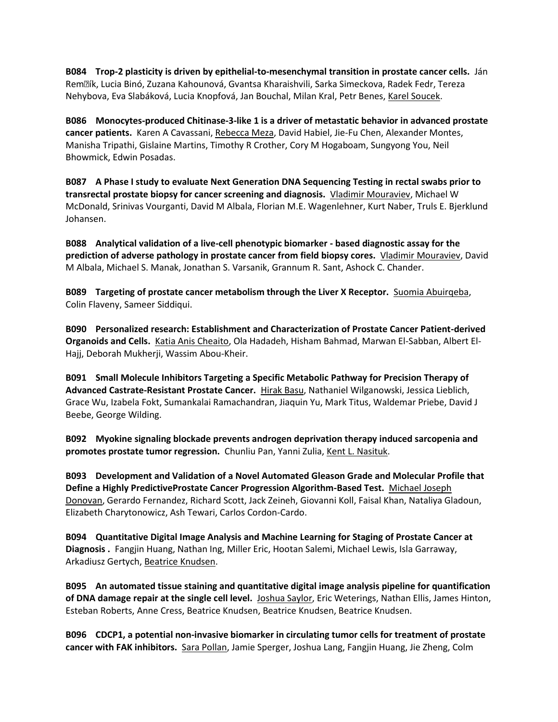**B084 Trop-2 plasticity is driven by epithelial-to-mesenchymal transition in prostate cancer cells.** Ján Remš ík, Lucia Binó, Zuzana Kahounová, Gvantsa Kharaishvili, Sarka Simeckova, Radek Fedr, Tereza Nehybova, Eva Slabáková, Lucia Knopfová, Jan Bouchal, Milan Kral, Petr Benes, Karel Soucek.

**B086 Monocytes-produced Chitinase-3-like 1 is a driver of metastatic behavior in advanced prostate cancer patients.** Karen A Cavassani, Rebecca Meza, David Habiel, Jie-Fu Chen, Alexander Montes, Manisha Tripathi, Gislaine Martins, Timothy R Crother, Cory M Hogaboam, Sungyong You, Neil Bhowmick, Edwin Posadas.

**B087 A Phase I study to evaluate Next Generation DNA Sequencing Testing in rectal swabs prior to transrectal prostate biopsy for cancer screening and diagnosis.** Vladimir Mouraviev, Michael W McDonald, Srinivas Vourganti, David M Albala, Florian M.E. Wagenlehner, Kurt Naber, Truls E. Bjerklund Johansen.

**B088 Analytical validation of a live-cell phenotypic biomarker - based diagnostic assay for the prediction of adverse pathology in prostate cancer from field biopsy cores.** Vladimir Mouraviev, David M Albala, Michael S. Manak, Jonathan S. Varsanik, Grannum R. Sant, Ashock C. Chander.

**B089 Targeting of prostate cancer metabolism through the Liver X Receptor.** Suomia Abuirqeba, Colin Flaveny, Sameer Siddiqui.

**B090 Personalized research: Establishment and Characterization of Prostate Cancer Patient-derived Organoids and Cells.** Katia Anis Cheaito, Ola Hadadeh, Hisham Bahmad, Marwan El-Sabban, Albert El-Hajj, Deborah Mukherji, Wassim Abou-Kheir.

**B091 Small Molecule Inhibitors Targeting a Specific Metabolic Pathway for Precision Therapy of Advanced Castrate-Resistant Prostate Cancer.** Hirak Basu, Nathaniel Wilganowski, Jessica Lieblich, Grace Wu, Izabela Fokt, Sumankalai Ramachandran, Jiaquin Yu, Mark Titus, Waldemar Priebe, David J Beebe, George Wilding.

**B092 Myokine signaling blockade prevents androgen deprivation therapy induced sarcopenia and promotes prostate tumor regression.** Chunliu Pan, Yanni Zulia, Kent L. Nasituk.

**B093 Development and Validation of a Novel Automated Gleason Grade and Molecular Profile that Define a Highly PredictiveProstate Cancer Progression Algorithm-Based Test.** Michael Joseph Donovan, Gerardo Fernandez, Richard Scott, Jack Zeineh, Giovanni Koll, Faisal Khan, Nataliya Gladoun, Elizabeth Charytonowicz, Ash Tewari, Carlos Cordon-Cardo.

**B094 Quantitative Digital Image Analysis and Machine Learning for Staging of Prostate Cancer at Diagnosis .** Fangjin Huang, Nathan Ing, Miller Eric, Hootan Salemi, Michael Lewis, Isla Garraway, Arkadiusz Gertych, Beatrice Knudsen.

**B095 An automated tissue staining and quantitative digital image analysis pipeline for quantification of DNA damage repair at the single cell level.** Joshua Saylor, Eric Weterings, Nathan Ellis, James Hinton, Esteban Roberts, Anne Cress, Beatrice Knudsen, Beatrice Knudsen, Beatrice Knudsen.

**B096 CDCP1, a potential non-invasive biomarker in circulating tumor cells for treatment of prostate cancer with FAK inhibitors.** Sara Pollan, Jamie Sperger, Joshua Lang, Fangjin Huang, Jie Zheng, Colm